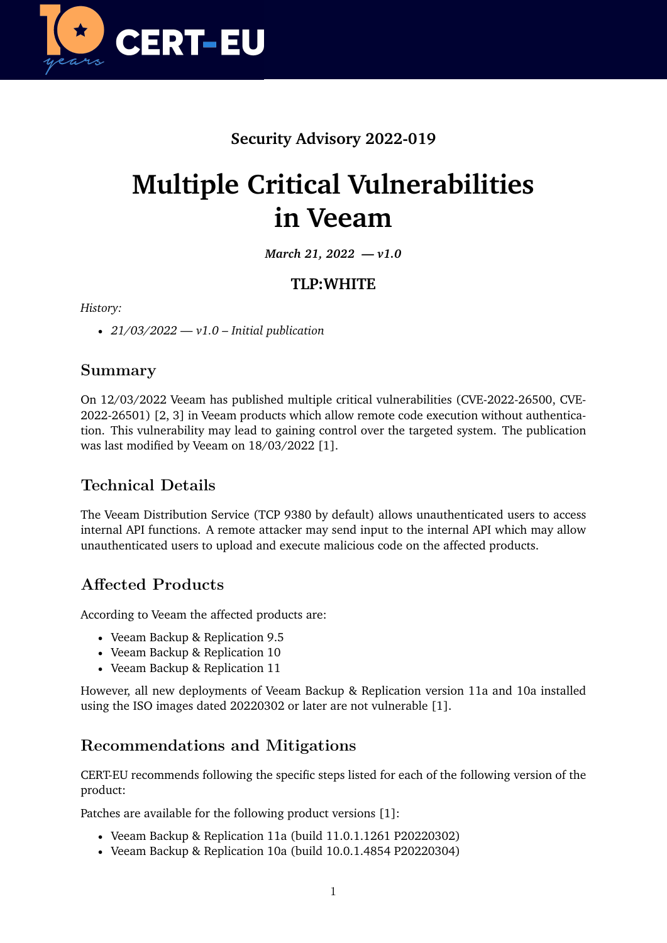

## **Security Advisory 2022-019**

# **Multiple Critical Vulnerabilities in Veeam**

*March 21, 2022 — v1.0*

### **TLP:WHITE**

*History:*

• *21/03/2022 — v1.0 – Initial publication*

#### **Summary**

On 12/03/2022 Veeam has published multiple critical vulnerabilities (CVE-2022-26500, CVE-2022-26501) [2, 3] in Veeam products which allow remote code execution without authentication. This vulnerability may lead to gaining control over the targeted system. The publication was last modified by Veeam on 18/03/2022 [1].

## **Technical Details**

The Veeam Distribution Service (TCP 9380 by default) allows unauthenticated users to access internal API functions. A remote attacker may send input to the internal API which may allow unauthenticated users to upload and execute malicious code on the affected products.

## **Affected Products**

According to Veeam the affected products are:

- Veeam Backup & Replication 9.5
- Veeam Backup & Replication 10
- Veeam Backup & Replication 11

However, all new deployments of Veeam Backup & Replication version 11a and 10a installed using the ISO images dated 20220302 or later are not vulnerable [1].

### **Recommendations and Mitigations**

CERT-EU recommends following the specific steps listed for each of the following version of the product:

Patches are available for the following product versions [1]:

- Veeam Backup & Replication 11a (build 11.0.1.1261 P20220302)
- Veeam Backup & Replication 10a (build 10.0.1.4854 P20220304)